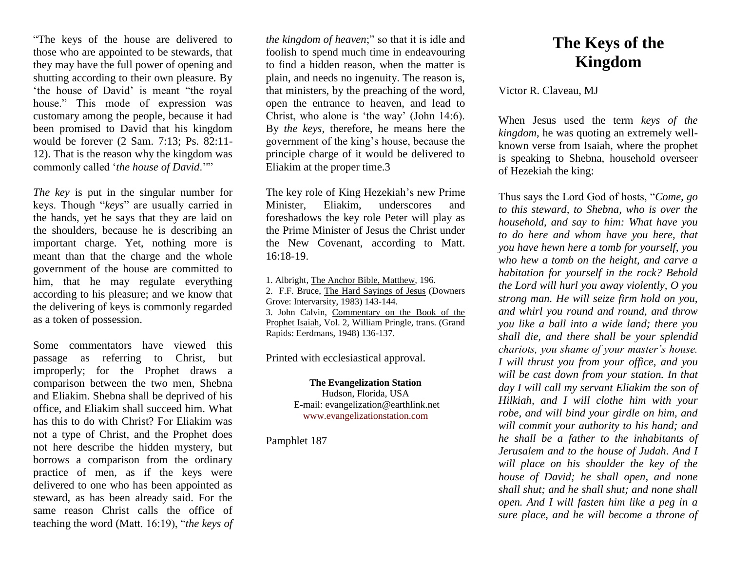"The keys of the house are delivered to those who are appointed to be stewards, that they may have the full power of opening and shutting according to their own pleasure. By 'the house of David' is meant "the royal house." This mode of expression was customary among the people, because it had been promised to David that his kingdom would be forever (2 Sam. 7:13; Ps. 82:11- 12). That is the reason why the kingdom was commonly called '*the house of David*.''"

*The key* is put in the singular number for keys. Though "*keys*" are usually carried in the hands, yet he says that they are laid on the shoulders, because he is describing an important charge. Yet, nothing more is meant than that the charge and the whole government of the house are committed to him, that he may regulate everything according to his pleasure; and we know that the delivering of keys is commonly regarded as a token of possession.

Some commentators have viewed this passage as referring to Christ, but improperly; for the Prophet draws a comparison between the two men, Shebna and Eliakim. Shebna shall be deprived of his office, and Eliakim shall succeed him. What has this to do with Christ? For Eliakim was not a type of Christ, and the Prophet does not here describe the hidden mystery, but borrows a comparison from the ordinary practice of men, as if the keys were delivered to one who has been appointed as steward, as has been already said. For the same reason Christ calls the office of teaching the word (Matt. 16:19), "*the keys of*  *the kingdom of heaven*;" so that it is idle and foolish to spend much time in endeavouring to find a hidden reason, when the matter is plain, and needs no ingenuity. The reason is, that ministers, by the preaching of the word, open the entrance to heaven, and lead to Christ, who alone is 'the way' (John 14:6). By *the keys*, therefore, he means here the government of the king's house, because the principle charge of it would be delivered to Eliakim at the proper time.3

The key role of King Hezekiah's new Prime Minister, Eliakim, underscores and foreshadows the key role Peter will play as the Prime Minister of Jesus the Christ under the New Covenant, according to Matt. 16:18-19.

1. Albright, The Anchor Bible, Matthew*,* 196. 2. F.F. Bruce, The Hard Sayings of Jesus (Downers Grove: Intervarsity, 1983) 143-144. 3. John Calvin, Commentary on the Book of the Prophet Isaiah, Vol. 2, William Pringle, trans. (Grand Rapids: Eerdmans, 1948) 136-137.

Printed with ecclesiastical approval.

## **The Evangelization Station**

Hudson, Florida, USA E-mail: evangelization@earthlink.net [www.evangelizationstation.com](http://www.pjpiisoe.org/)

Pamphlet 187

## **The Keys of the Kingdom**

Victor R. Claveau, MJ

When Jesus used the term *keys of the kingdom*, he was quoting an extremely wellknown verse from Isaiah, where the prophet is speaking to Shebna, household overseer of Hezekiah the king:

Thus says the Lord God of hosts, "*Come, go to this steward, to Shebna, who is over the household, and say to him: What have you to do here and whom have you here, that you have hewn here a tomb for yourself, you who hew a tomb on the height, and carve a habitation for yourself in the rock? Behold the Lord will hurl you away violently, O you strong man. He will seize firm hold on you, and whirl you round and round, and throw you like a ball into a wide land; there you shall die, and there shall be your splendid chariots, you shame of your master's house. I will thrust you from your office, and you will be cast down from your station. In that day I will call my servant Eliakim the son of Hilkiah, and I will clothe him with your robe, and will bind your girdle on him, and will commit your authority to his hand; and he shall be a father to the inhabitants of Jerusalem and to the house of Judah. And I will place on his shoulder the key of the house of David; he shall open, and none shall shut; and he shall shut; and none shall open. And I will fasten him like a peg in a sure place, and he will become a throne of*